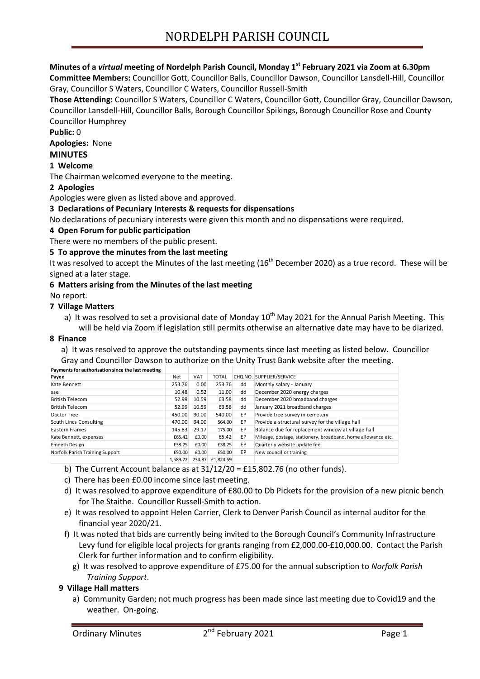# **Minutes of a** *virtual* **meeting of Nordelph Parish Council, Monday 1st February 2021 via Zoom at 6.30pm**

**Committee Members:** Councillor Gott, Councillor Balls, Councillor Dawson, Councillor Lansdell-Hill, Councillor Gray, Councillor S Waters, Councillor C Waters, Councillor Russell-Smith

**Those Attending:** Councillor S Waters, Councillor C Waters, Councillor Gott, Councillor Gray, Councillor Dawson, Councillor Lansdell-Hill, Councillor Balls, Borough Councillor Spikings, Borough Councillor Rose and County Councillor Humphrey

**Public:** 0

**Apologies:** None

## **MINUTES**

#### **1 Welcome**

The Chairman welcomed everyone to the meeting.

#### **2 Apologies**

Apologies were given as listed above and approved.

#### **3 Declarations of Pecuniary Interests & requests for dispensations**

No declarations of pecuniary interests were given this month and no dispensations were required.

#### **4 Open Forum for public participation**

There were no members of the public present.

#### **5 To approve the minutes from the last meeting**

It was resolved to accept the Minutes of the last meeting (16<sup>th</sup> December 2020) as a true record. These will be signed at a later stage.

#### **6 Matters arising from the Minutes of the last meeting**

No report.

### **7 Village Matters**

a) It was resolved to set a provisional date of Monday  $10^{th}$  May 2021 for the Annual Parish Meeting. This will be held via Zoom if legislation still permits otherwise an alternative date may have to be diarized.

#### **8 Finance**

a) It was resolved to approve the outstanding payments since last meeting as listed below. Councillor Gray and Councillor Dawson to authorize on the Unity Trust Bank website after the meeting.

| Payments for authorisation since the last meeting |          |            |              |    |                                                              |
|---------------------------------------------------|----------|------------|--------------|----|--------------------------------------------------------------|
| Payee                                             | Net      | <b>VAT</b> | <b>TOTAL</b> |    | CHO NO. SUPPLIER/SERVICE                                     |
| Kate Bennett                                      | 253.76   | 0.00       | 253.76       | dd | Monthly salary - January                                     |
| sse                                               | 10.48    | 0.52       | 11.00        | dd | December 2020 energy charges                                 |
| <b>British Telecom</b>                            | 52.99    | 10.59      | 63.58        | dd | December 2020 broadband charges                              |
| <b>British Telecom</b>                            | 52.99    | 10.59      | 63.58        | dd | January 2021 broadband charges                               |
| Doctor Tree                                       | 450.00   | 90.00      | 540.00       | EP | Provide tree survey in cemetery                              |
| South Lincs Consulting                            | 470.00   | 94.00      | 564.00       | EP | Provide a structural survey for the village hall             |
| Eastern Frames                                    | 145.83   | 29.17      | 175.00       | EP | Balance due for replacement window at village hall           |
| Kate Bennett, expenses                            | £65.42   | £0.00      | 65.42        | EP | Mileage, postage, stationery, broadband, home allowance etc. |
| <b>Emneth Design</b>                              | £38.25   | £0.00      | £38.25       | EP | Quarterly website update fee                                 |
| Norfolk Parish Training Support                   | £50.00   | £0.00      | £50.00       | EP | New councillor training                                      |
|                                                   | 1.589.72 | 234.87     | £1.824.59    |    |                                                              |

- b) The Current Account balance as at 31/12/20 = £15,802.76 (no other funds).
- c) There has been £0.00 income since last meeting.
- d) It was resolved to approve expenditure of £80.00 to Db Pickets for the provision of a new picnic bench for The Staithe. Councillor Russell-Smith to action.
- e) It was resolved to appoint Helen Carrier, Clerk to Denver Parish Council as internal auditor for the financial year 2020/21.
- f) It was noted that bids are currently being invited to the Borough Council's Community Infrastructure Levy fund for eligible local projects for grants ranging from £2,000.00-£10,000.00. Contact the Parish Clerk for further information and to confirm eligibility.
	- g) It was resolved to approve expenditure of £75.00 for the annual subscription to *Norfolk Parish Training Support*.

#### **9 Village Hall matters**

a) Community Garden; not much progress has been made since last meeting due to Covid19 and the weather. On-going.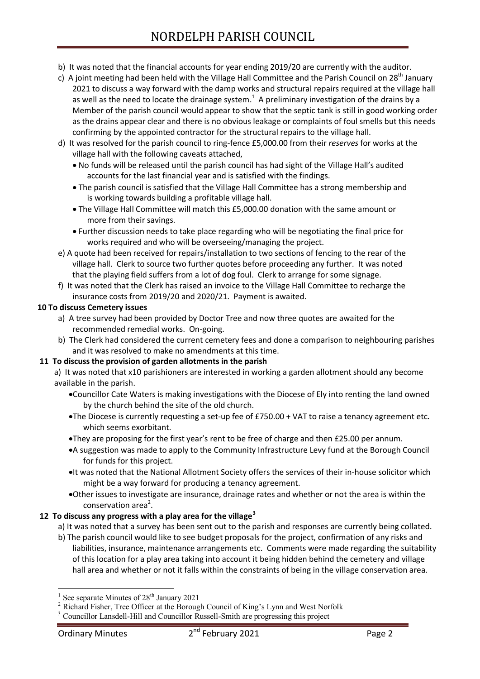- b) It was noted that the financial accounts for year ending 2019/20 are currently with the auditor.
- c) A joint meeting had been held with the Village Hall Committee and the Parish Council on  $28<sup>th</sup>$  January 2021 to discuss a way forward with the damp works and structural repairs required at the village hall as well as the need to locate the drainage system.<sup>1</sup> A preliminary investigation of the drains by a Member of the parish council would appear to show that the septic tank is still in good working order as the drains appear clear and there is no obvious leakage or complaints of foul smells but this needs confirming by the appointed contractor for the structural repairs to the village hall.
- d) It was resolved for the parish council to ring-fence £5,000.00 from their *reserves* for works at the village hall with the following caveats attached,
	- No funds will be released until the parish council has had sight of the Village Hall's audited accounts for the last financial year and is satisfied with the findings.
	- The parish council is satisfied that the Village Hall Committee has a strong membership and is working towards building a profitable village hall.
	- The Village Hall Committee will match this £5,000.00 donation with the same amount or more from their savings.
	- Further discussion needs to take place regarding who will be negotiating the final price for works required and who will be overseeing/managing the project.
- e) A quote had been received for repairs/installation to two sections of fencing to the rear of the village hall. Clerk to source two further quotes before proceeding any further. It was noted that the playing field suffers from a lot of dog foul. Clerk to arrange for some signage.
- f) It was noted that the Clerk has raised an invoice to the Village Hall Committee to recharge the insurance costs from 2019/20 and 2020/21. Payment is awaited.

## **10 To discuss Cemetery issues**

- a) A tree survey had been provided by Doctor Tree and now three quotes are awaited for the recommended remedial works. On-going.
- b) The Clerk had considered the current cemetery fees and done a comparison to neighbouring parishes and it was resolved to make no amendments at this time.

## **11 To discuss the provision of garden allotments in the parish**

- a) It was noted that x10 parishioners are interested in working a garden allotment should any become available in the parish.
	- Councillor Cate Waters is making investigations with the Diocese of Ely into renting the land owned by the church behind the site of the old church.
	- The Diocese is currently requesting a set-up fee of £750.00 + VAT to raise a tenancy agreement etc. which seems exorbitant.
	- They are proposing for the first year's rent to be free of charge and then £25.00 per annum.
	- A suggestion was made to apply to the Community Infrastructure Levy fund at the Borough Council for funds for this project.
	- It was noted that the National Allotment Society offers the services of their in-house solicitor which might be a way forward for producing a tenancy agreement.
	- Other issues to investigate are insurance, drainage rates and whether or not the area is within the  $conservation area<sup>2</sup>.$

# **12 To discuss any progress with a play area for the village<sup>3</sup>**

- a) It was noted that a survey has been sent out to the parish and responses are currently being collated.
- b) The parish council would like to see budget proposals for the project, confirmation of any risks and liabilities, insurance, maintenance arrangements etc. Comments were made regarding the suitability of this location for a play area taking into account it being hidden behind the cemetery and village hall area and whether or not it falls within the constraints of being in the village conservation area.

1

<sup>1</sup> See separate Minutes of  $28<sup>th</sup>$  January 2021

<sup>&</sup>lt;sup>2</sup> Richard Fisher, Tree Officer at the Borough Council of King's Lynn and West Norfolk

<sup>&</sup>lt;sup>3</sup> Councillor Lansdell-Hill and Councillor Russell-Smith are progressing this project